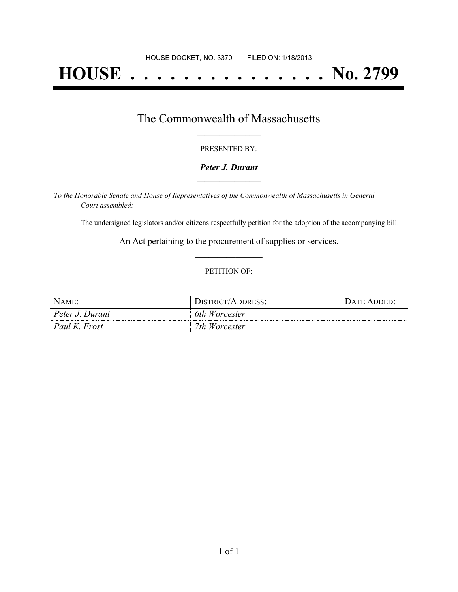# **HOUSE . . . . . . . . . . . . . . . No. 2799**

### The Commonwealth of Massachusetts **\_\_\_\_\_\_\_\_\_\_\_\_\_\_\_\_\_**

#### PRESENTED BY:

#### *Peter J. Durant* **\_\_\_\_\_\_\_\_\_\_\_\_\_\_\_\_\_**

*To the Honorable Senate and House of Representatives of the Commonwealth of Massachusetts in General Court assembled:*

The undersigned legislators and/or citizens respectfully petition for the adoption of the accompanying bill:

An Act pertaining to the procurement of supplies or services. **\_\_\_\_\_\_\_\_\_\_\_\_\_\_\_**

#### PETITION OF:

| NAME:           | DISTRICT/ADDRESS: | <b>DATE ADDED:</b> |
|-----------------|-------------------|--------------------|
| Peter J. Durant | 6th Worcester     |                    |
| Paul K. Frost   | 7th Worcester     |                    |